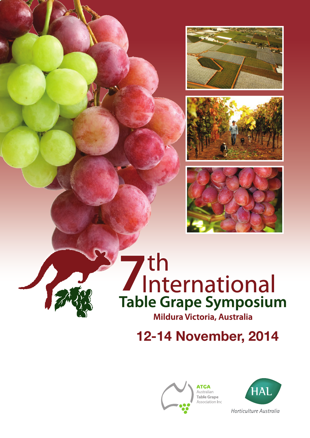





# **7th**<br>International **Table Grape Symposium** Mildura Victoria, Australia

12-14 November, 2014



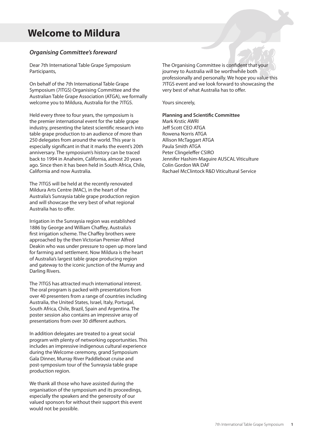## **Welcome to Mildura**

#### *Organising Committee's foreward*

Dear 7th International Table Grape Symposium Participants,

On behalf of the 7th International Table Grape Symposium (7ITGS) Organising Committee and the Australian Table Grape Association (ATGA), we formally welcome you to Mildura, Australia for the 7ITGS.

Held every three to four years, the symposium is the premier international event for the table grape industry, presenting the latest scientific research into table grape production to an audience of more than 250 delegates from around the world. This year is especially significant in that it marks the event's 20th anniversary. The symposium's history can be traced back to 1994 in Anaheim, California, almost 20 years ago. Since then it has been held in South Africa, Chile, California and now Australia.

The 7ITGS will be held at the recently renovated Mildura Arts Centre (MAC), in the heart of the Australia's Sunraysia table grape production region and will showcase the very best of what regional Australia has to offer.

Irrigation in the Sunraysia region was established 1886 by George and William Chaffey, Australia's first irrigation scheme. The Chaffey brothers were approached by the then Victorian Premier Alfred Deakin who was under pressure to open up more land for farming and settlement. Now Mildura is the heart of Australia's largest table grape producing region and gateway to the iconic junction of the Murray and Darling Rivers.

The 7ITGS has attracted much international interest. The oral program is packed with presentations from over 40 presenters from a range of countries including Australia, the United States, Israel, Italy, Portugal, South Africa, Chile, Brazil, Spain and Argentina. The poster session also contains an impressive array of presentations from over 30 different authors.

In addition delegates are treated to a great social program with plenty of networking opportunities. This includes an impressive indigenous cultural experience during the Welcome ceremony, grand Symposium Gala Dinner, Murray River Paddleboat cruise and post-symposium tour of the Sunraysia table grape production region.

We thank all those who have assisted during the organisation of the symposium and its proceedings, especially the speakers and the generosity of our valued sponsors for without their support this event would not be possible.

The Organising Committee is confident that your journey to Australia will be worthwhile both professionally and personally. We hope you value this 7ITGS event and we look forward to showcasing the very best of what Australia has to offer.

Yours sincerely,

**Planning and Scientific Committee** Mark Krstic AWRI Jeff Scott CEO ATGA Rowena Norris ATGA Allison McTaggart ATGA Paula Smith ATGA Peter Clingeleffer CSIRO Jennifer Hashim-Maguire AUSCAL Viticulture Colin Gordon WA DAF Rachael McClintock R&D Viticultural Service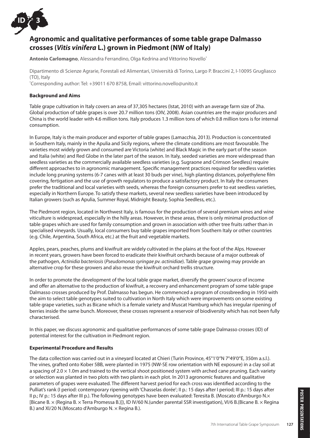

### **Agronomic and qualitative performances of some table grape Dalmasso crosses (***Vitis vinifera* **L.) grown in Piedmont (NW of Italy)**

**Antonio Carlomagno**, Alessandra Ferrandino, Olga Kedrina and Vittorino Novello\*

Dipartimento di Scienze Agrarie, Forestali ed Alimentari, Università di Torino, Largo P. Braccini 2, I-10095 Grugliasco (TO), Italy

\* Corresponding author: Tel: +39011 670 8758, Email: vittorino.novello@unito.it

#### **Background and Aims**

Table grape cultivation in Italy covers an area of 37,305 hectares (Istat, 2010) with an average farm size of 2ha. Global production of table grapes is over 20.7 million tons (OIV, 2008). Asian countries are the major producers and China is the world leader with 4.6 million tons. Italy produces 1.3 million tons of which 0.8 million tons is for internal consumption.

In Europe, Italy is the main producer and exporter of table grapes (Lamacchia, 2013). Production is concentrated in Southern Italy, mainly in the Apulia and Sicily regions, where the climate conditions are most favourable. The varieties most widely grown and consumed are Victoria (white) and Black Magic in the early part of the season and Italia (white) and Red Globe in the later part of the season. In Italy, seeded varieties are more widespread than seedless varieties as the commercially available seedless varieties (e.g. Sugraone and Crimson Seedless) require different approaches to in agronomic management. Specific management practices required for seedless varieties include long pruning systems (6-7 canes with at least 30 buds per vine), high planting distances, polyethylene film covering, fertigation and the use of growth regulators to produce a satisfactory product. In Italy the consumers prefer the traditional and local varieties with seeds, whereas the foreign consumers prefer to eat seedless varieties, especially in Northern Europe. To satisfy these markets, several new seedless varieties have been introduced by Italian growers (such as Apulia, Summer Royal, Midnight Beauty, Sophia Seedless, etc.).

The Piedmont region, located in Northwest Italy, is famous for the production of several premium wines and wine viticulture is widespread, especially in the hilly areas. However, in these areas, there is only minimal production of table grapes which are used for family consumption and grown in association with other tree fruits rather than in specialised vineyards. Usually, local consumers buy table grapes imported from Southern Italy or other countries (e.g. Chile, Argentina, South Africa, etc.) at the fruit and vegetable markets.

Apples, pears, peaches, plums and kiwifruit are widely cultivated in the plains at the foot of the Alps. However in recent years, growers have been forced to eradicate their kiwifruit orchards because of a major outbreak of the pathogen, *Actinidia bacteriosis* (*Pseudomonas syringae pv. actinidiae*). Table grape growing may provide an alternative crop for these growers and also reuse the kiwifruit orchard trellis structure.

In order to promote the development of the local table grape market, diversify the growers' source of income and offer an alternative to the production of kiwifruit, a recovery and enhancement program of some table grape Dalmasso crosses produced by Prof. Dalmasso has begun. He commenced a program of crossbreeding in 1950 with the aim to select table genotypes suited to cultivation in North Italy which were improvements on some existing table grape varieties, such as Bicane which is a female variety and Muscat Hamburg which has irregular ripening of berries inside the same bunch. Moreover, these crosses represent a reservoir of biodiversity which has not been fully characterised.

In this paper, we discuss agronomic and qualitative performances of some table grape Dalmasso crosses (ID) of potential interest for the cultivation in Piedmont region.

#### **Experimental Procedure and Results**

The data collection was carried out in a vineyard located at Chieri (Turin Province, 45°1'0"N 7°49'0"E, 350m a.s.l.). The vines, grafted onto Kober 5BB, were planted in 1975 (NW-SE row orientation with NE exposure) in a clay soil at a spacing of  $2.0 \times 1.0$ m and trained to the vertical shoot positioned system with arched cane pruning. Each variety or selection was planted in two plots with two plants in each plot. In 2013 agronomic features and qualitative parameters of grapes were evaluated. The different harvest period for each cross was identified according to the Pulliat's rank (I period: contemporary ripening with 'Chasselas dorée'; II p.: 15 days after I period; III p.: 15 days after II p.; IV p.: 15 days after III p.). The following genotypes have been evaluated: Teresita B. (Moscato d'Amburgo N.× [Bicane B. × (Regina B. × Terra Promessa B.)]), ID IV/60 N.(under parental SSR investigation), VI/6 B.(Bicane B. × Regina B.) and XI/20 N.(Moscato d'Amburgo N. × Regina B.).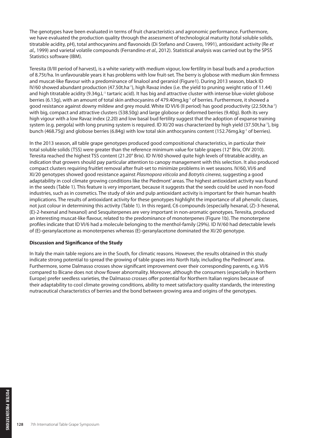The genotypes have been evaluated in terms of fruit characteristics and agronomic performance. Furthermore, we have evaluated the production quality through the assessment of technological maturity (total soluble solids, titratable acidity, pH), total anthocyanins and flavonoids (Di Stefano and Cravero, 1991), antioxidant activity (Re *et al.,* 1999) and varietal volatile compounds (Ferrandino *et al.,* 2012). Statistical analysis was carried out by the SPSS Statistics software (IBM).

Teresita (II/III period of harvest), is a white variety with medium vigour, low fertility in basal buds and a production of 8.75t/ha. In unfavourable years it has problems with low fruit-set. The berry is globose with medium skin firmness and muscat-like flavour with a predominance of linalool and geraniol (Figure1). During 2013 season, black ID IV/60 showed abundant production (47.50t.ha-1), high Ravaz index (i.e. the yield to pruning weight ratio of 11.44) and high titratable acidity (9.34g.L<sup>-1</sup> tartaric acid). It has big and attractive cluster with intense blue-violet globose berries (6.13g), with an amount of total skin anthocyanins of 479.40mg.kg<sup>-1</sup> of berries. Furthermore, it showed a good resistance against downy mildew and grey mould. White ID VI/6 (II period) has good productivity (22.50t.ha-1) with big, compact and attractive clusters (538.50g) and large globose or deformed berries (9.40g). Both its very high vigour with a low Ravaz index (2.20) and low basal bud fertility suggest that the adoption of expanse training system (e.g. pergola) with long pruning system is required. ID XI/20 was characterized by high yield (37.50t.ha<sup>-1</sup>), big bunch (468.75g) and globose berries (6.84g) with low total skin anthocyanins content (152.76mg.kg<sup>-1</sup> of berries).

In the 2013 season, all table grape genotypes produced good compositional characteristics, in particular their total soluble solids (TSS) were greater than the reference minimum value for table grapes (12° Brix, OIV 2010). Teresita reached the highest TSS content (21.20° Brix). ID IV/60 showed quite high levels of titratable acidity, an indication that growers should pay particular attention to canopy management with this selection. It also produced compact clusters requiring fruitlet removal after fruit-set to minimize problems in wet seasons. IV/60, VI/6 and XI/20 genotypes showed good resistance against *Plasmopora viticola* and *Botrytis cinerea*, suggesting a good adaptability in cool climate growing conditions like the Piedmont' areas. The highest antioxidant activity was found in the seeds (Table 1). This feature is very important, because it suggests that the seeds could be used in non-food industries, such as in cosmetics. The study of skin and pulp antioxidant activity is important for their human health implications. The results of antioxidant activity for these genotypes highlight the importance of all phenolic classes, not just colour in determining this activity (Table 1). In this regard, C6 compounds (especially hexanal, (Z)-3-hexenal, (E)-2-hexenal and hexanol) and Sesquiterpenes are very important in non-aromatic genotypes. Teresita, produced an interesting muscat-like flavour, related to the predominance of monoterpenes (Figure 1b). The monoterpene profiles indicate that ID VI/6 had a molecule belonging to the menthol-family (29%). ID IV/60 had detectable levels of (E)-geranylacetone as monoterpenes whereas (E)-geranylacetone dominated the XI/20 genotype.

#### **Discussion and Significance of the Study**

In Italy the main table regions are in the South, for climatic reasons. However, the results obtained in this study indicate strong potential to spread the growing of table grapes into North Italy, including the Piedmont' area. Furthermore, some Dalmasso crosses show significant improvement over their corresponding parents, e.g. VI/6 compared to Bicane does not show flower abnormality. Moreover, although the consumers (especially in Northern Europe) prefer seedless varieties, the Dalmasso crosses offer potential for Northern Italian regions because of their adaptability to cool climate growing conditions, ability to meet satisfactory quality standards, the interesting nutraceutical characteristics of berries and the bond between growing area and origins of the genotypes.